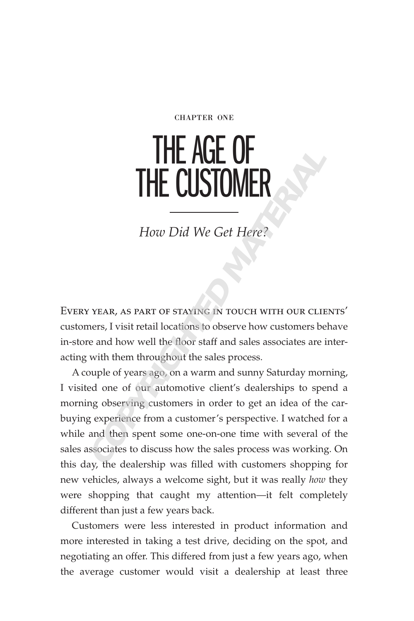#### CHAPTER ONE

# THE AGE OF THE CUSTOMER

*How Did We Get Here?*

Every year, as part of staying in touch with our clients' customers, I visit retail locations to observe how customers behave in-store and how well the floor staff and sales associates are interacting with them throughout the sales process.

A couple of years ago, on a warm and sunny Saturday morning, I visited one of our automotive client's dealerships to spend a morning observing customers in order to get an idea of the carbuying experience from a customer's perspective. I watched for a while and then spent some one-on-one time with several of the sales associates to discuss how the sales process was working. On this day, the dealership was filled with customers shopping for new vehicles, always a welcome sight, but it was really *how* they were shopping that caught my attention—it felt completely different than just a few years back. **THE CUSTOMER**<br> *COPYRIGHTERIAL MOVEM WE Get Here?*<br> *COPYRIGHTERIAL MOVEM WITH OUR CLINERY SPART OF STAYING IN TOUCH WITH OUR CLINERS, I visit retail locations to observe how customers be<br>
re and how well the floor staff* 

Customers were less interested in product information and more interested in taking a test drive, deciding on the spot, and negotiating an offer. This differed from just a few years ago, when the average customer would visit a dealership at least three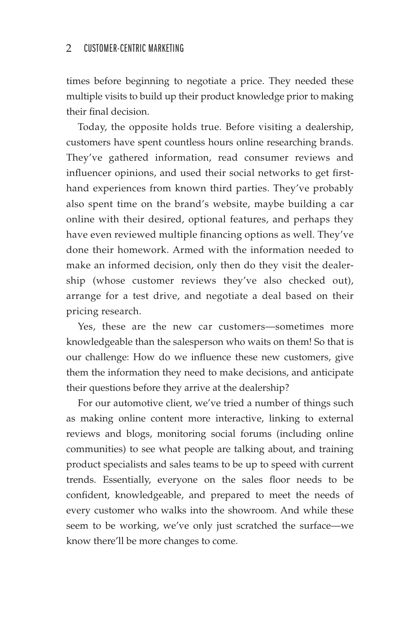times before beginning to negotiate a price. They needed these multiple visits to build up their product knowledge prior to making their final decision.

Today, the opposite holds true. Before visiting a dealership, customers have spent countless hours online researching brands. They've gathered information, read consumer reviews and influencer opinions, and used their social networks to get firsthand experiences from known third parties. They've probably also spent time on the brand's website, maybe building a car online with their desired, optional features, and perhaps they have even reviewed multiple financing options as well. They've done their homework. Armed with the information needed to make an informed decision, only then do they visit the dealership (whose customer reviews they've also checked out), arrange for a test drive, and negotiate a deal based on their pricing research.

Yes, these are the new car customers—sometimes more knowledgeable than the salesperson who waits on them! So that is our challenge: How do we influence these new customers, give them the information they need to make decisions, and anticipate their questions before they arrive at the dealership?

For our automotive client, we've tried a number of things such as making online content more interactive, linking to external reviews and blogs, monitoring social forums (including online communities) to see what people are talking about, and training product specialists and sales teams to be up to speed with current trends. Essentially, everyone on the sales floor needs to be confident, knowledgeable, and prepared to meet the needs of every customer who walks into the showroom. And while these seem to be working, we've only just scratched the surface—we know there'll be more changes to come.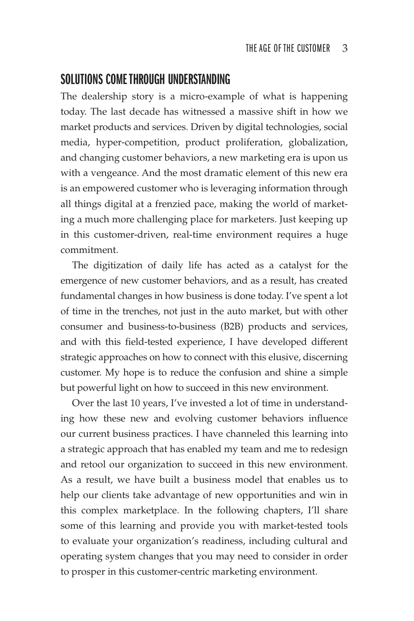### SOLUTIONS COME THROUGH UNDERSTANDING

The dealership story is a micro-example of what is happening today. The last decade has witnessed a massive shift in how we market products and services. Driven by digital technologies, social media, hyper-competition, product proliferation, globalization, and changing customer behaviors, a new marketing era is upon us with a vengeance. And the most dramatic element of this new era is an empowered customer who is leveraging information through all things digital at a frenzied pace, making the world of marketing a much more challenging place for marketers. Just keeping up in this customer-driven, real-time environment requires a huge commitment.

The digitization of daily life has acted as a catalyst for the emergence of new customer behaviors, and as a result, has created fundamental changes in how business is done today. I've spent a lot of time in the trenches, not just in the auto market, but with other consumer and business-to-business (B2B) products and services, and with this field-tested experience, I have developed different strategic approaches on how to connect with this elusive, discerning customer. My hope is to reduce the confusion and shine a simple but powerful light on how to succeed in this new environment.

Over the last 10 years, I've invested a lot of time in understanding how these new and evolving customer behaviors influence our current business practices. I have channeled this learning into a strategic approach that has enabled my team and me to redesign and retool our organization to succeed in this new environment. As a result, we have built a business model that enables us to help our clients take advantage of new opportunities and win in this complex marketplace. In the following chapters, I'll share some of this learning and provide you with market-tested tools to evaluate your organization's readiness, including cultural and operating system changes that you may need to consider in order to prosper in this customer-centric marketing environment.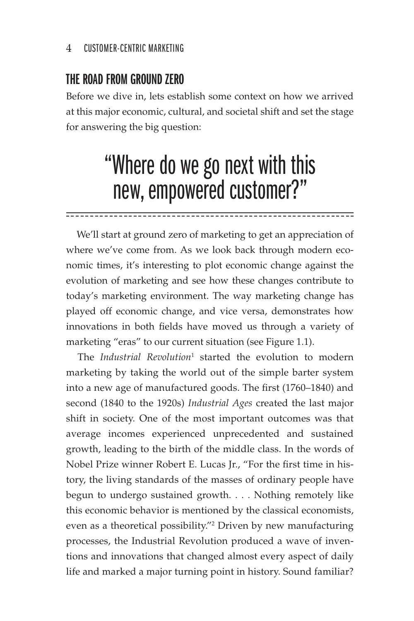### THE ROAD FROM GROUND ZERO

Before we dive in, lets establish some context on how we arrived at this major economic, cultural, and societal shift and set the stage for answering the big question:

# "Where do we go next with this new, empowered customer?"

We'll start at ground zero of marketing to get an appreciation of where we've come from. As we look back through modern economic times, it's interesting to plot economic change against the evolution of marketing and see how these changes contribute to today's marketing environment. The way marketing change has played off economic change, and vice versa, demonstrates how innovations in both fields have moved us through a variety of marketing "eras" to our current situation (see Figure 1.1).

The *Industrial Revolution*<sup>1</sup> started the evolution to modern marketing by taking the world out of the simple barter system into a new age of manufactured goods. The first (1760–1840) and second (1840 to the 1920s) *Industrial Ages* created the last major shift in society. One of the most important outcomes was that average incomes experienced unprecedented and sustained growth, leading to the birth of the middle class. In the words of Nobel Prize winner Robert E. Lucas Jr., "For the first time in history, the living standards of the masses of ordinary people have begun to undergo sustained growth. . . . Nothing remotely like this economic behavior is mentioned by the classical economists, even as a theoretical possibility."2 Driven by new manufacturing processes, the Industrial Revolution produced a wave of inventions and innovations that changed almost every aspect of daily life and marked a major turning point in history. Sound familiar?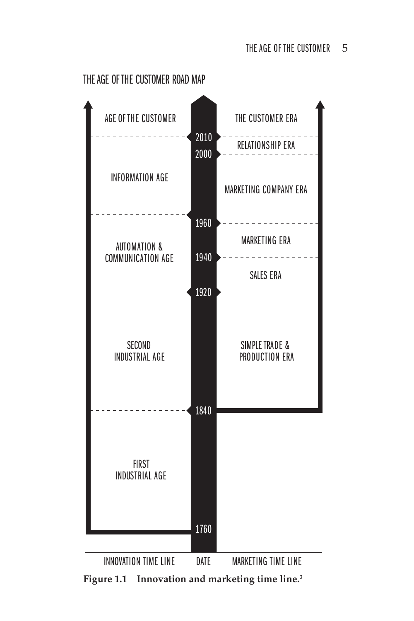

THE AGE OF THE CUSTOMER ROAD MAP

**Figure 1.1 Innovation and marketing time line.3**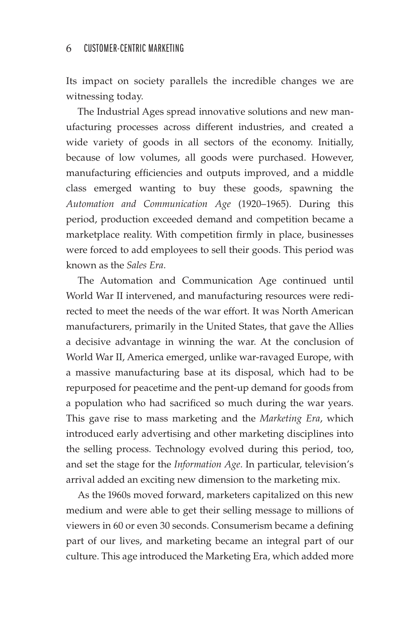Its impact on society parallels the incredible changes we are witnessing today.

The Industrial Ages spread innovative solutions and new manufacturing processes across different industries, and created a wide variety of goods in all sectors of the economy. Initially, because of low volumes, all goods were purchased. However, manufacturing efficiencies and outputs improved, and a middle class emerged wanting to buy these goods, spawning the *Automation and Communication Age* (1920–1965). During this period, production exceeded demand and competition became a marketplace reality. With competition firmly in place, businesses were forced to add employees to sell their goods. This period was known as the *Sales Era*.

The Automation and Communication Age continued until World War II intervened, and manufacturing resources were redirected to meet the needs of the war effort. It was North American manufacturers, primarily in the United States, that gave the Allies a decisive advantage in winning the war. At the conclusion of World War II, America emerged, unlike war-ravaged Europe, with a massive manufacturing base at its disposal, which had to be repurposed for peacetime and the pent-up demand for goods from a population who had sacrificed so much during the war years. This gave rise to mass marketing and the *Marketing Era*, which introduced early advertising and other marketing disciplines into the selling process. Technology evolved during this period, too, and set the stage for the *Information Age*. In particular, television's arrival added an exciting new dimension to the marketing mix.

As the 1960s moved forward, marketers capitalized on this new medium and were able to get their selling message to millions of viewers in 60 or even 30 seconds. Consumerism became a defining part of our lives, and marketing became an integral part of our culture. This age introduced the Marketing Era, which added more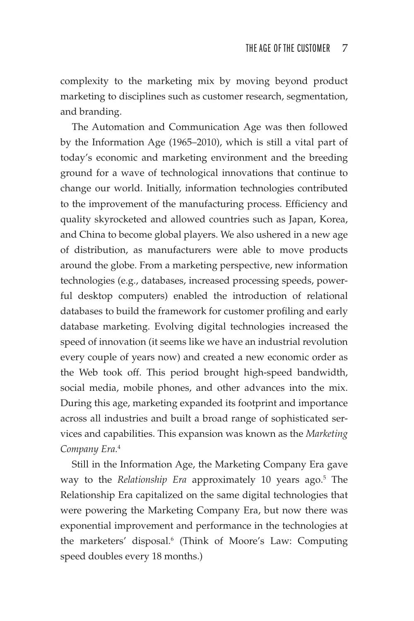complexity to the marketing mix by moving beyond product marketing to disciplines such as customer research, segmentation, and branding.

The Automation and Communication Age was then followed by the Information Age (1965–2010), which is still a vital part of today's economic and marketing environment and the breeding ground for a wave of technological innovations that continue to change our world. Initially, information technologies contributed to the improvement of the manufacturing process. Efficiency and quality skyrocketed and allowed countries such as Japan, Korea, and China to become global players. We also ushered in a new age of distribution, as manufacturers were able to move products around the globe. From a marketing perspective, new information technologies (e.g., databases, increased processing speeds, powerful desktop computers) enabled the introduction of relational databases to build the framework for customer profiling and early database marketing. Evolving digital technologies increased the speed of innovation (it seems like we have an industrial revolution every couple of years now) and created a new economic order as the Web took off. This period brought high-speed bandwidth, social media, mobile phones, and other advances into the mix. During this age, marketing expanded its footprint and importance across all industries and built a broad range of sophisticated services and capabilities. This expansion was known as the *Marketing Company Era.*<sup>4</sup>

Still in the Information Age, the Marketing Company Era gave way to the *Relationship Era* approximately 10 years ago.<sup>5</sup> The Relationship Era capitalized on the same digital technologies that were powering the Marketing Company Era, but now there was exponential improvement and performance in the technologies at the marketers' disposal.<sup>6</sup> (Think of Moore's Law: Computing speed doubles every 18 months.)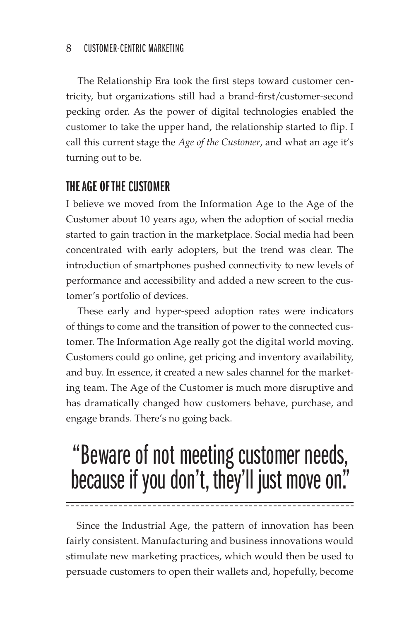The Relationship Era took the first steps toward customer centricity, but organizations still had a brand-first/customer-second pecking order. As the power of digital technologies enabled the customer to take the upper hand, the relationship started to flip. I call this current stage the *Age of the Customer*, and what an age it's turning out to be.

## THE AGE OF THE CUSTOMER

I believe we moved from the Information Age to the Age of the Customer about 10 years ago, when the adoption of social media started to gain traction in the marketplace. Social media had been concentrated with early adopters, but the trend was clear. The introduction of smartphones pushed connectivity to new levels of performance and accessibility and added a new screen to the customer's portfolio of devices.

These early and hyper-speed adoption rates were indicators of things to come and the transition of power to the connected customer. The Information Age really got the digital world moving. Customers could go online, get pricing and inventory availability, and buy. In essence, it created a new sales channel for the marketing team. The Age of the Customer is much more disruptive and has dramatically changed how customers behave, purchase, and engage brands. There's no going back.

# "Beware of not meeting customer needs, because if you don't, they'll just move on."

Since the Industrial Age, the pattern of innovation has been fairly consistent. Manufacturing and business innovations would stimulate new marketing practices, which would then be used to persuade customers to open their wallets and, hopefully, become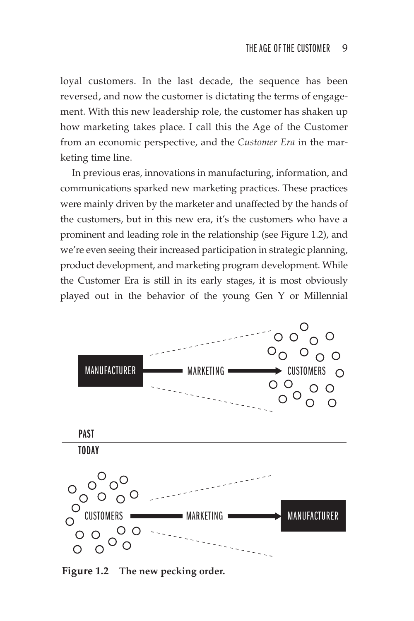loyal customers. In the last decade, the sequence has been reversed, and now the customer is dictating the terms of engagement. With this new leadership role, the customer has shaken up how marketing takes place. I call this the Age of the Customer from an economic perspective, and the *Customer Era* in the marketing time line.

In previous eras, innovations in manufacturing, information, and communications sparked new marketing practices. These practices were mainly driven by the marketer and unaffected by the hands of the customers, but in this new era, it's the customers who have a prominent and leading role in the relationship (see Figure 1.2), and we're even seeing their increased participation in strategic planning, product development, and marketing program development. While the Customer Era is still in its early stages, it is most obviously played out in the behavior of the young Gen Y or Millennial



**Figure 1.2 The new pecking order.**